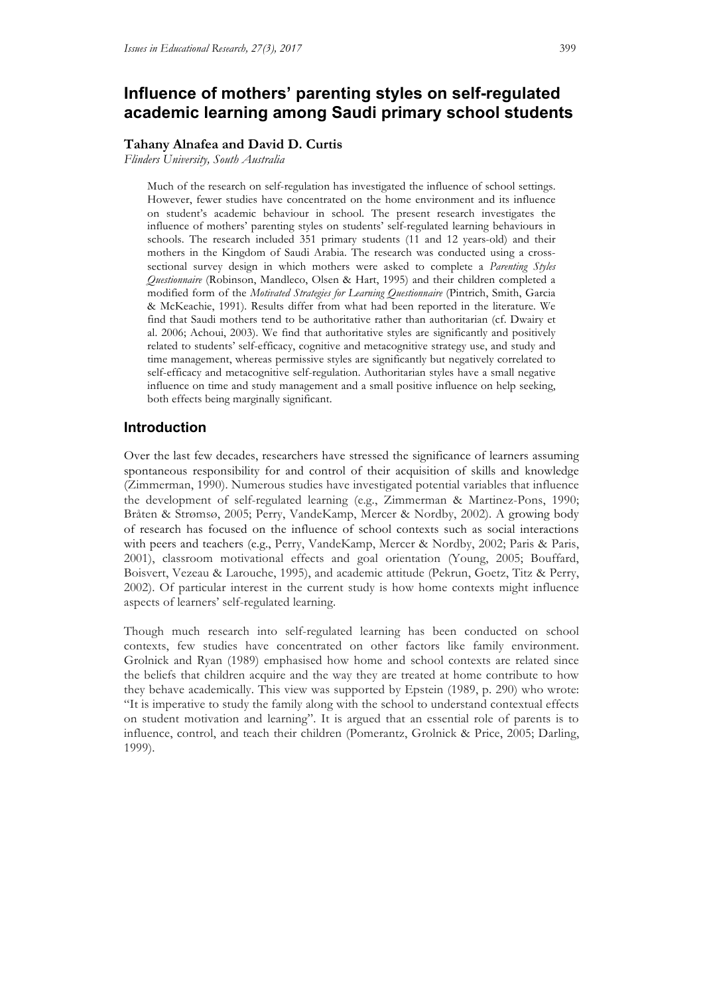# **Influence of mothers' parenting styles on self-regulated academic learning among Saudi primary school students**

## **Tahany Alnafea and David D. Curtis**

*Flinders University, South Australia*

Much of the research on self-regulation has investigated the influence of school settings. However, fewer studies have concentrated on the home environment and its influence on student's academic behaviour in school. The present research investigates the influence of mothers' parenting styles on students' self-regulated learning behaviours in schools. The research included 351 primary students (11 and 12 years-old) and their mothers in the Kingdom of Saudi Arabia. The research was conducted using a crosssectional survey design in which mothers were asked to complete a *Parenting Styles Questionnaire* (Robinson, Mandleco, Olsen & Hart, 1995) and their children completed a modified form of the *Motivated Strategies for Learning Questionnaire* (Pintrich, Smith, Garcia & McKeachie, 1991). Results differ from what had been reported in the literature. We find that Saudi mothers tend to be authoritative rather than authoritarian (cf. Dwairy et al. 2006; Achoui, 2003). We find that authoritative styles are significantly and positively related to students' self-efficacy, cognitive and metacognitive strategy use, and study and time management, whereas permissive styles are significantly but negatively correlated to self-efficacy and metacognitive self-regulation. Authoritarian styles have a small negative influence on time and study management and a small positive influence on help seeking, both effects being marginally significant.

## **Introduction**

Over the last few decades, researchers have stressed the significance of learners assuming spontaneous responsibility for and control of their acquisition of skills and knowledge (Zimmerman, 1990). Numerous studies have investigated potential variables that influence the development of self-regulated learning (e.g., Zimmerman & Martinez-Pons, 1990; Bråten & Strømsø, 2005; Perry, VandeKamp, Mercer & Nordby, 2002). A growing body of research has focused on the influence of school contexts such as social interactions with peers and teachers (e.g., Perry, VandeKamp, Mercer & Nordby, 2002; Paris & Paris, 2001), classroom motivational effects and goal orientation (Young, 2005; Bouffard, Boisvert, Vezeau & Larouche, 1995), and academic attitude (Pekrun, Goetz, Titz & Perry, 2002). Of particular interest in the current study is how home contexts might influence aspects of learners' self-regulated learning.

Though much research into self-regulated learning has been conducted on school contexts, few studies have concentrated on other factors like family environment. Grolnick and Ryan (1989) emphasised how home and school contexts are related since the beliefs that children acquire and the way they are treated at home contribute to how they behave academically. This view was supported by Epstein (1989, p. 290) who wrote: "It is imperative to study the family along with the school to understand contextual effects on student motivation and learning". It is argued that an essential role of parents is to influence, control, and teach their children (Pomerantz, Grolnick & Price, 2005; Darling, 1999).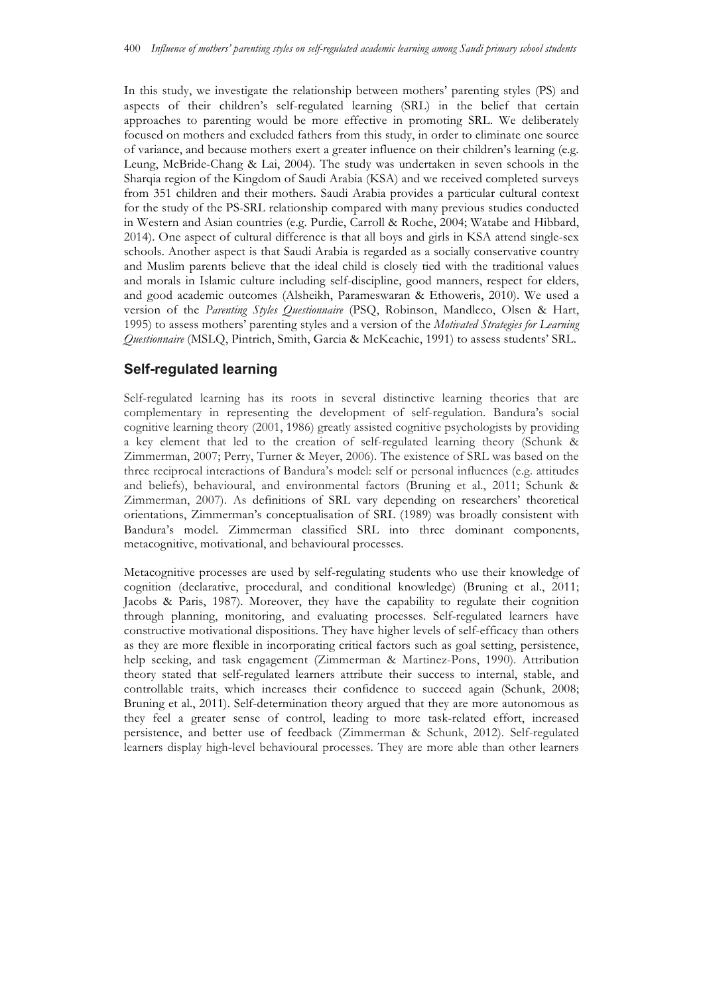In this study, we investigate the relationship between mothers' parenting styles (PS) and aspects of their children's self-regulated learning (SRL) in the belief that certain approaches to parenting would be more effective in promoting SRL. We deliberately focused on mothers and excluded fathers from this study, in order to eliminate one source of variance, and because mothers exert a greater influence on their children's learning (e.g. Leung, McBride-Chang & Lai, 2004). The study was undertaken in seven schools in the Sharqia region of the Kingdom of Saudi Arabia (KSA) and we received completed surveys from 351 children and their mothers. Saudi Arabia provides a particular cultural context for the study of the PS-SRL relationship compared with many previous studies conducted in Western and Asian countries (e.g. Purdie, Carroll & Roche, 2004; Watabe and Hibbard, 2014). One aspect of cultural difference is that all boys and girls in KSA attend single-sex schools. Another aspect is that Saudi Arabia is regarded as a socially conservative country and Muslim parents believe that the ideal child is closely tied with the traditional values and morals in Islamic culture including self-discipline, good manners, respect for elders, and good academic outcomes (Alsheikh, Parameswaran & Ethoweris, 2010). We used a version of the *Parenting Styles Questionnaire* (PSQ, Robinson, Mandleco, Olsen & Hart, 1995) to assess mothers' parenting styles and a version of the *Motivated Strategies for Learning Questionnaire* (MSLQ, Pintrich, Smith, Garcia & McKeachie, 1991) to assess students' SRL.

## **Self-regulated learning**

Self-regulated learning has its roots in several distinctive learning theories that are complementary in representing the development of self-regulation. Bandura's social cognitive learning theory (2001, 1986) greatly assisted cognitive psychologists by providing a key element that led to the creation of self-regulated learning theory (Schunk & Zimmerman, 2007; Perry, Turner & Meyer, 2006). The existence of SRL was based on the three reciprocal interactions of Bandura's model: self or personal influences (e.g. attitudes and beliefs), behavioural, and environmental factors (Bruning et al., 2011; Schunk & Zimmerman, 2007). As definitions of SRL vary depending on researchers' theoretical orientations, Zimmerman's conceptualisation of SRL (1989) was broadly consistent with Bandura's model. Zimmerman classified SRL into three dominant components, metacognitive, motivational, and behavioural processes.

Metacognitive processes are used by self-regulating students who use their knowledge of cognition (declarative, procedural, and conditional knowledge) (Bruning et al., 2011; Jacobs & Paris, 1987). Moreover, they have the capability to regulate their cognition through planning, monitoring, and evaluating processes. Self-regulated learners have constructive motivational dispositions. They have higher levels of self-efficacy than others as they are more flexible in incorporating critical factors such as goal setting, persistence, help seeking, and task engagement (Zimmerman & Martinez-Pons, 1990). Attribution theory stated that self-regulated learners attribute their success to internal, stable, and controllable traits, which increases their confidence to succeed again (Schunk, 2008; Bruning et al., 2011). Self-determination theory argued that they are more autonomous as they feel a greater sense of control, leading to more task-related effort, increased persistence, and better use of feedback (Zimmerman & Schunk, 2012). Self-regulated learners display high-level behavioural processes. They are more able than other learners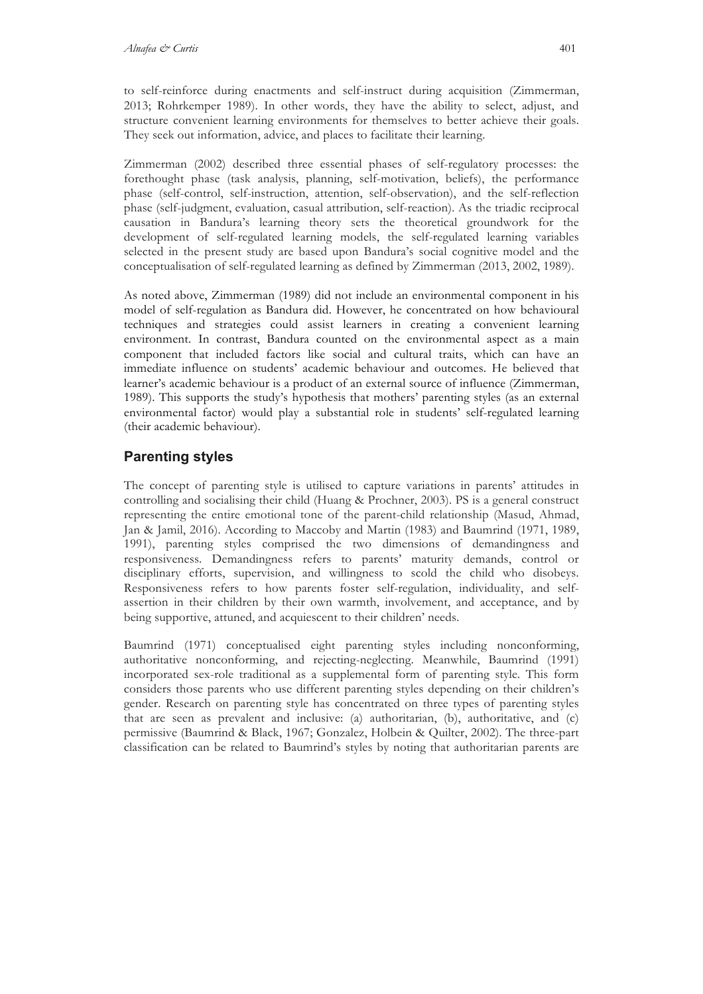to self-reinforce during enactments and self-instruct during acquisition (Zimmerman, 2013; Rohrkemper 1989). In other words, they have the ability to select, adjust, and structure convenient learning environments for themselves to better achieve their goals. They seek out information, advice, and places to facilitate their learning.

Zimmerman (2002) described three essential phases of self-regulatory processes: the forethought phase (task analysis, planning, self-motivation, beliefs), the performance phase (self-control, self-instruction, attention, self-observation), and the self-reflection phase (self-judgment, evaluation, casual attribution, self-reaction). As the triadic reciprocal causation in Bandura's learning theory sets the theoretical groundwork for the development of self-regulated learning models, the self-regulated learning variables selected in the present study are based upon Bandura's social cognitive model and the conceptualisation of self-regulated learning as defined by Zimmerman (2013, 2002, 1989).

As noted above, Zimmerman (1989) did not include an environmental component in his model of self-regulation as Bandura did. However, he concentrated on how behavioural techniques and strategies could assist learners in creating a convenient learning environment. In contrast, Bandura counted on the environmental aspect as a main component that included factors like social and cultural traits, which can have an immediate influence on students' academic behaviour and outcomes. He believed that learner's academic behaviour is a product of an external source of influence (Zimmerman, 1989). This supports the study's hypothesis that mothers' parenting styles (as an external environmental factor) would play a substantial role in students' self-regulated learning (their academic behaviour).

## **Parenting styles**

The concept of parenting style is utilised to capture variations in parents' attitudes in controlling and socialising their child (Huang & Prochner, 2003). PS is a general construct representing the entire emotional tone of the parent-child relationship (Masud, Ahmad, Jan & Jamil, 2016). According to Maccoby and Martin (1983) and Baumrind (1971, 1989, 1991), parenting styles comprised the two dimensions of demandingness and responsiveness. Demandingness refers to parents' maturity demands, control or disciplinary efforts, supervision, and willingness to scold the child who disobeys. Responsiveness refers to how parents foster self-regulation, individuality, and selfassertion in their children by their own warmth, involvement, and acceptance, and by being supportive, attuned, and acquiescent to their children' needs.

Baumrind (1971) conceptualised eight parenting styles including nonconforming, authoritative nonconforming, and rejecting-neglecting. Meanwhile, Baumrind (1991) incorporated sex-role traditional as a supplemental form of parenting style. This form considers those parents who use different parenting styles depending on their children's gender. Research on parenting style has concentrated on three types of parenting styles that are seen as prevalent and inclusive: (a) authoritarian, (b), authoritative, and (c) permissive (Baumrind & Black, 1967; Gonzalez, Holbein & Quilter, 2002). The three-part classification can be related to Baumrind's styles by noting that authoritarian parents are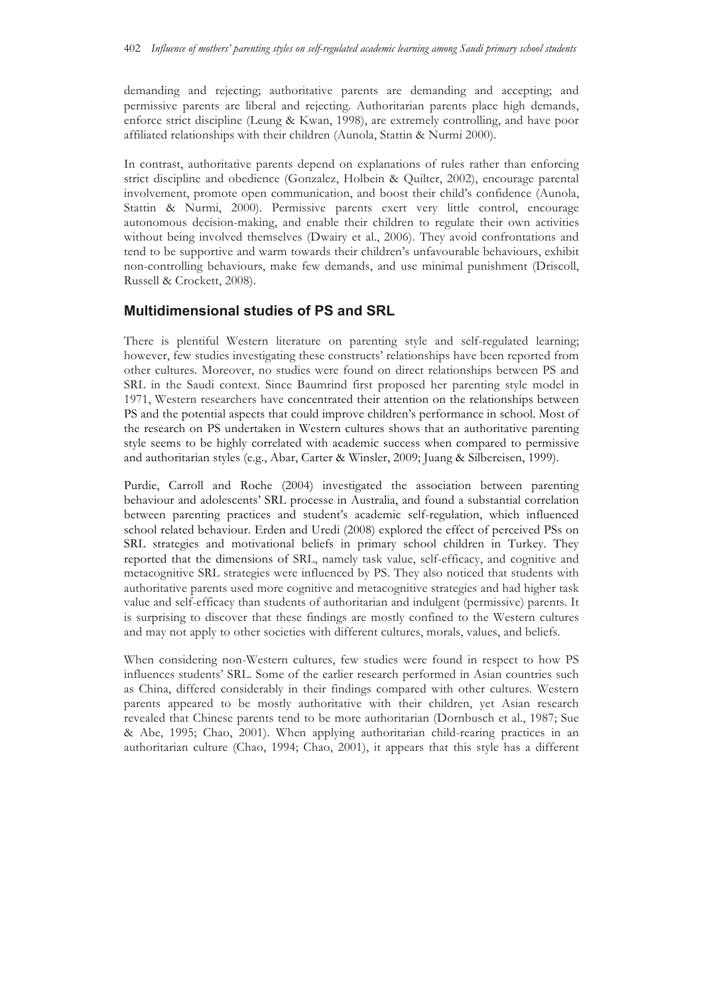demanding and rejecting; authoritative parents are demanding and accepting; and permissive parents are liberal and rejecting. Authoritarian parents place high demands, enforce strict discipline (Leung & Kwan, 1998), are extremely controlling, and have poor affiliated relationships with their children (Aunola, Stattin & Nurmi 2000).

In contrast, authoritative parents depend on explanations of rules rather than enforcing strict discipline and obedience (Gonzalez, Holbein & Quilter, 2002), encourage parental involvement, promote open communication, and boost their child's confidence (Aunola, Stattin & Nurmi, 2000). Permissive parents exert very little control, encourage autonomous decision-making, and enable their children to regulate their own activities without being involved themselves (Dwairy et al., 2006). They avoid confrontations and tend to be supportive and warm towards their children's unfavourable behaviours, exhibit non-controlling behaviours, make few demands, and use minimal punishment (Driscoll, Russell & Crockett, 2008).

## **Multidimensional studies of PS and SRL**

There is plentiful Western literature on parenting style and self-regulated learning; however, few studies investigating these constructs' relationships have been reported from other cultures. Moreover, no studies were found on direct relationships between PS and SRL in the Saudi context. Since Baumrind first proposed her parenting style model in 1971, Western researchers have concentrated their attention on the relationships between PS and the potential aspects that could improve children's performance in school. Most of the research on PS undertaken in Western cultures shows that an authoritative parenting style seems to be highly correlated with academic success when compared to permissive and authoritarian styles (e.g., Abar, Carter & Winsler, 2009; Juang & Silbereisen, 1999).

Purdie, Carroll and Roche (2004) investigated the association between parenting behaviour and adolescents' SRL processe in Australia, and found a substantial correlation between parenting practices and student's academic self-regulation, which influenced school related behaviour. Erden and Uredi (2008) explored the effect of perceived PSs on SRL strategies and motivational beliefs in primary school children in Turkey. They reported that the dimensions of SRL, namely task value, self-efficacy, and cognitive and metacognitive SRL strategies were influenced by PS. They also noticed that students with authoritative parents used more cognitive and metacognitive strategies and had higher task value and self-efficacy than students of authoritarian and indulgent (permissive) parents. It is surprising to discover that these findings are mostly confined to the Western cultures and may not apply to other societies with different cultures, morals, values, and beliefs.

When considering non-Western cultures, few studies were found in respect to how PS influences students' SRL. Some of the earlier research performed in Asian countries such as China, differed considerably in their findings compared with other cultures. Western parents appeared to be mostly authoritative with their children, yet Asian research revealed that Chinese parents tend to be more authoritarian (Dornbusch et al., 1987; Sue & Abe, 1995; Chao, 2001). When applying authoritarian child-rearing practices in an authoritarian culture (Chao, 1994; Chao, 2001), it appears that this style has a different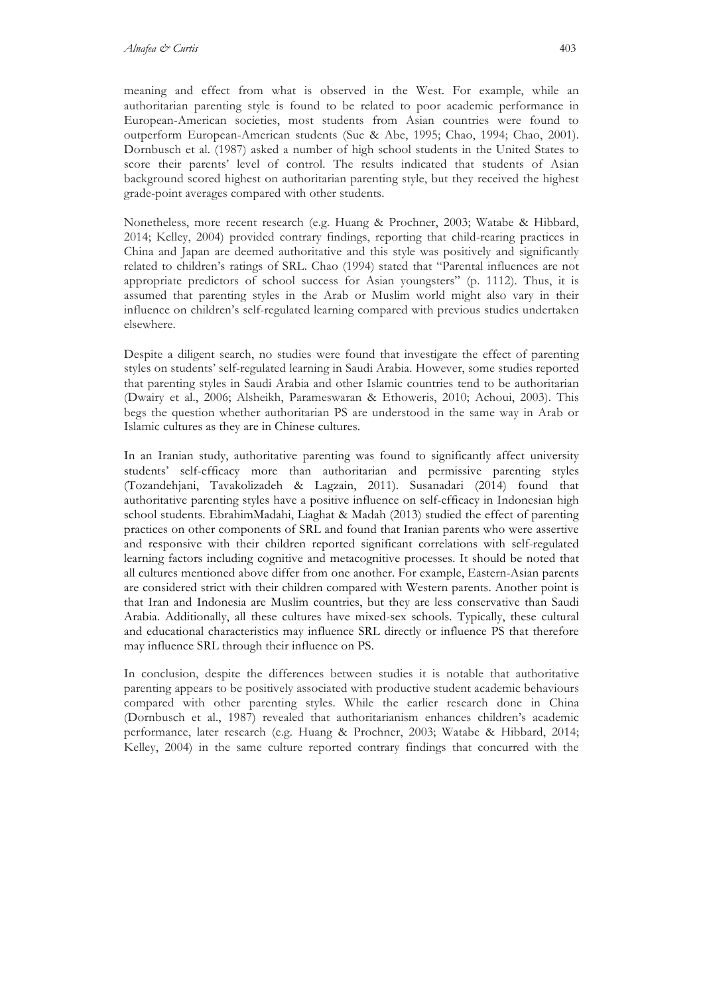meaning and effect from what is observed in the West. For example, while an authoritarian parenting style is found to be related to poor academic performance in European-American societies, most students from Asian countries were found to outperform European-American students (Sue & Abe, 1995; Chao, 1994; Chao, 2001). Dornbusch et al. (1987) asked a number of high school students in the United States to score their parents' level of control. The results indicated that students of Asian background scored highest on authoritarian parenting style, but they received the highest grade-point averages compared with other students.

Nonetheless, more recent research (e.g. Huang & Prochner, 2003; Watabe & Hibbard, 2014; Kelley, 2004) provided contrary findings, reporting that child-rearing practices in China and Japan are deemed authoritative and this style was positively and significantly related to children's ratings of SRL. Chao (1994) stated that "Parental influences are not appropriate predictors of school success for Asian youngsters" (p. 1112). Thus, it is assumed that parenting styles in the Arab or Muslim world might also vary in their influence on children's self-regulated learning compared with previous studies undertaken elsewhere.

Despite a diligent search, no studies were found that investigate the effect of parenting styles on students' self-regulated learning in Saudi Arabia. However, some studies reported that parenting styles in Saudi Arabia and other Islamic countries tend to be authoritarian (Dwairy et al., 2006; Alsheikh, Parameswaran & Ethoweris, 2010; Achoui, 2003). This begs the question whether authoritarian PS are understood in the same way in Arab or Islamic cultures as they are in Chinese cultures.

In an Iranian study, authoritative parenting was found to significantly affect university students' self-efficacy more than authoritarian and permissive parenting styles (Tozandehjani, Tavakolizadeh & Lagzain, 2011). Susanadari (2014) found that authoritative parenting styles have a positive influence on self-efficacy in Indonesian high school students. EbrahimMadahi, Liaghat & Madah (2013) studied the effect of parenting practices on other components of SRL and found that Iranian parents who were assertive and responsive with their children reported significant correlations with self-regulated learning factors including cognitive and metacognitive processes. It should be noted that all cultures mentioned above differ from one another. For example, Eastern-Asian parents are considered strict with their children compared with Western parents. Another point is that Iran and Indonesia are Muslim countries, but they are less conservative than Saudi Arabia. Additionally, all these cultures have mixed-sex schools. Typically, these cultural and educational characteristics may influence SRL directly or influence PS that therefore may influence SRL through their influence on PS.

In conclusion, despite the differences between studies it is notable that authoritative parenting appears to be positively associated with productive student academic behaviours compared with other parenting styles. While the earlier research done in China (Dornbusch et al., 1987) revealed that authoritarianism enhances children's academic performance, later research (e.g. Huang & Prochner, 2003; Watabe & Hibbard, 2014; Kelley, 2004) in the same culture reported contrary findings that concurred with the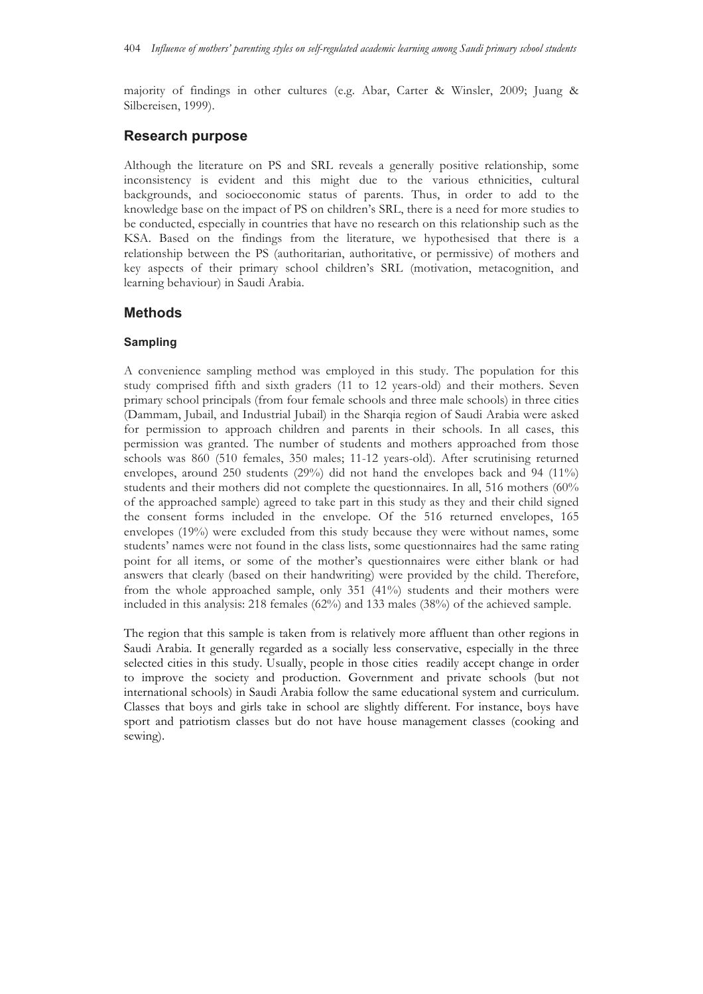majority of findings in other cultures (e.g. Abar, Carter & Winsler, 2009; Juang & Silbereisen, 1999).

## **Research purpose**

Although the literature on PS and SRL reveals a generally positive relationship, some inconsistency is evident and this might due to the various ethnicities, cultural backgrounds, and socioeconomic status of parents. Thus, in order to add to the knowledge base on the impact of PS on children's SRL, there is a need for more studies to be conducted, especially in countries that have no research on this relationship such as the KSA. Based on the findings from the literature, we hypothesised that there is a relationship between the PS (authoritarian, authoritative, or permissive) of mothers and key aspects of their primary school children's SRL (motivation, metacognition, and learning behaviour) in Saudi Arabia.

## **Methods**

### **Sampling**

A convenience sampling method was employed in this study. The population for this study comprised fifth and sixth graders (11 to 12 years-old) and their mothers. Seven primary school principals (from four female schools and three male schools) in three cities (Dammam, Jubail, and Industrial Jubail) in the Sharqia region of Saudi Arabia were asked for permission to approach children and parents in their schools. In all cases, this permission was granted. The number of students and mothers approached from those schools was 860 (510 females, 350 males; 11-12 years-old). After scrutinising returned envelopes, around 250 students (29%) did not hand the envelopes back and 94 (11%) students and their mothers did not complete the questionnaires. In all, 516 mothers (60% of the approached sample) agreed to take part in this study as they and their child signed the consent forms included in the envelope. Of the 516 returned envelopes, 165 envelopes (19%) were excluded from this study because they were without names, some students' names were not found in the class lists, some questionnaires had the same rating point for all items, or some of the mother's questionnaires were either blank or had answers that clearly (based on their handwriting) were provided by the child. Therefore, from the whole approached sample, only 351 (41%) students and their mothers were included in this analysis: 218 females (62%) and 133 males (38%) of the achieved sample.

The region that this sample is taken from is relatively more affluent than other regions in Saudi Arabia. It generally regarded as a socially less conservative, especially in the three selected cities in this study. Usually, people in those cities readily accept change in order to improve the society and production. Government and private schools (but not international schools) in Saudi Arabia follow the same educational system and curriculum. Classes that boys and girls take in school are slightly different. For instance, boys have sport and patriotism classes but do not have house management classes (cooking and sewing).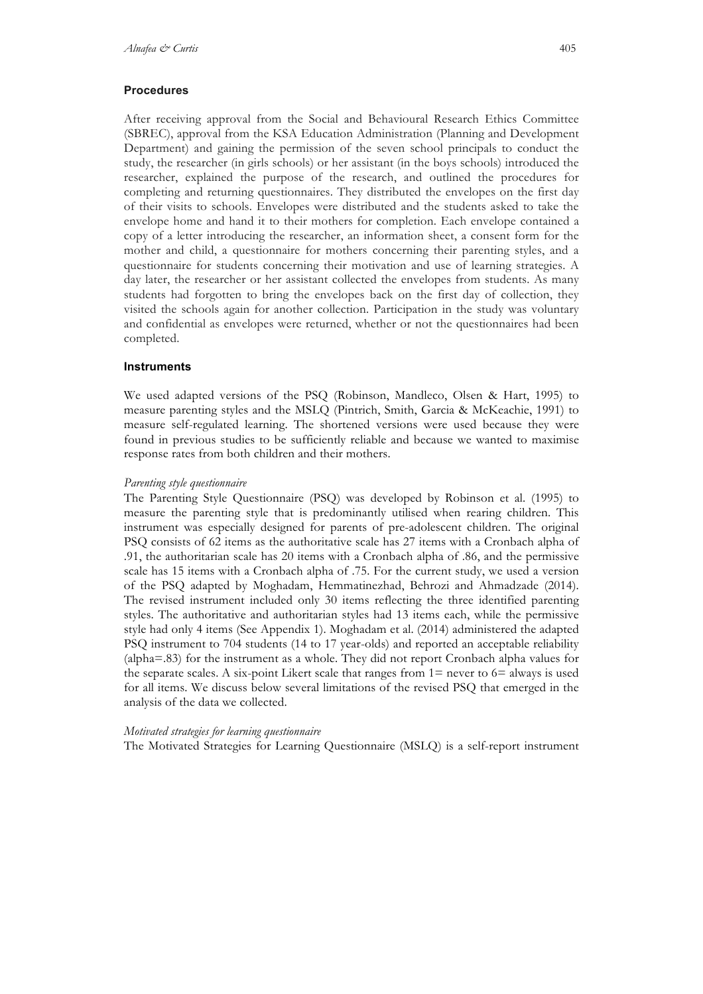#### **Procedures**

After receiving approval from the Social and Behavioural Research Ethics Committee (SBREC), approval from the KSA Education Administration (Planning and Development Department) and gaining the permission of the seven school principals to conduct the study, the researcher (in girls schools) or her assistant (in the boys schools) introduced the researcher, explained the purpose of the research, and outlined the procedures for completing and returning questionnaires. They distributed the envelopes on the first day of their visits to schools. Envelopes were distributed and the students asked to take the envelope home and hand it to their mothers for completion. Each envelope contained a copy of a letter introducing the researcher, an information sheet, a consent form for the mother and child, a questionnaire for mothers concerning their parenting styles, and a questionnaire for students concerning their motivation and use of learning strategies. A day later, the researcher or her assistant collected the envelopes from students. As many students had forgotten to bring the envelopes back on the first day of collection, they visited the schools again for another collection. Participation in the study was voluntary and confidential as envelopes were returned, whether or not the questionnaires had been completed.

### **Instruments**

We used adapted versions of the PSQ (Robinson, Mandleco, Olsen & Hart, 1995) to measure parenting styles and the MSLQ (Pintrich, Smith, Garcia & McKeachie, 1991) to measure self-regulated learning. The shortened versions were used because they were found in previous studies to be sufficiently reliable and because we wanted to maximise response rates from both children and their mothers.

#### *Parenting style questionnaire*

The Parenting Style Questionnaire (PSQ) was developed by Robinson et al. (1995) to measure the parenting style that is predominantly utilised when rearing children. This instrument was especially designed for parents of pre-adolescent children. The original PSQ consists of 62 items as the authoritative scale has 27 items with a Cronbach alpha of .91, the authoritarian scale has 20 items with a Cronbach alpha of .86, and the permissive scale has 15 items with a Cronbach alpha of .75. For the current study, we used a version of the PSQ adapted by Moghadam, Hemmatinezhad, Behrozi and Ahmadzade (2014). The revised instrument included only 30 items reflecting the three identified parenting styles. The authoritative and authoritarian styles had 13 items each, while the permissive style had only 4 items (See Appendix 1). Moghadam et al. (2014) administered the adapted PSQ instrument to 704 students (14 to 17 year-olds) and reported an acceptable reliability (alpha=.83) for the instrument as a whole. They did not report Cronbach alpha values for the separate scales. A six-point Likert scale that ranges from  $1=$  never to  $6=$  always is used for all items. We discuss below several limitations of the revised PSQ that emerged in the analysis of the data we collected.

#### *Motivated strategies for learning questionnaire*

The Motivated Strategies for Learning Questionnaire (MSLQ) is a self-report instrument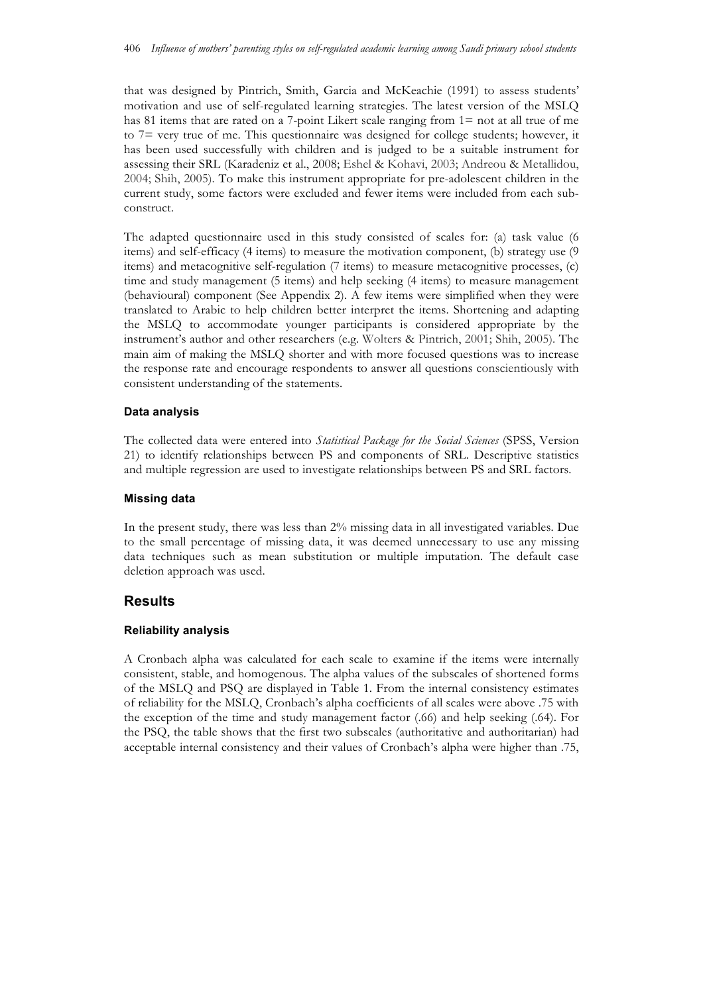that was designed by Pintrich, Smith, Garcia and McKeachie (1991) to assess students' motivation and use of self-regulated learning strategies. The latest version of the MSLQ has 81 items that are rated on a 7-point Likert scale ranging from 1= not at all true of me to 7= very true of me. This questionnaire was designed for college students; however, it has been used successfully with children and is judged to be a suitable instrument for assessing their SRL (Karadeniz et al., 2008; Eshel & Kohavi, 2003; Andreou & Metallidou, 2004; Shih, 2005). To make this instrument appropriate for pre-adolescent children in the current study, some factors were excluded and fewer items were included from each subconstruct.

The adapted questionnaire used in this study consisted of scales for: (a) task value (6 items) and self-efficacy (4 items) to measure the motivation component, (b) strategy use (9 items) and metacognitive self-regulation (7 items) to measure metacognitive processes, (c) time and study management (5 items) and help seeking (4 items) to measure management (behavioural) component (See Appendix 2). A few items were simplified when they were translated to Arabic to help children better interpret the items. Shortening and adapting the MSLQ to accommodate younger participants is considered appropriate by the instrument's author and other researchers (e.g. Wolters & Pintrich, 2001; Shih, 2005). The main aim of making the MSLQ shorter and with more focused questions was to increase the response rate and encourage respondents to answer all questions conscientiously with consistent understanding of the statements.

### **Data analysis**

The collected data were entered into *Statistical Package for the Social Sciences* (SPSS, Version 21) to identify relationships between PS and components of SRL. Descriptive statistics and multiple regression are used to investigate relationships between PS and SRL factors.

#### **Missing data**

In the present study, there was less than 2% missing data in all investigated variables. Due to the small percentage of missing data, it was deemed unnecessary to use any missing data techniques such as mean substitution or multiple imputation. The default case deletion approach was used.

### **Results**

### **Reliability analysis**

A Cronbach alpha was calculated for each scale to examine if the items were internally consistent, stable, and homogenous. The alpha values of the subscales of shortened forms of the MSLQ and PSQ are displayed in Table 1. From the internal consistency estimates of reliability for the MSLQ, Cronbach's alpha coefficients of all scales were above .75 with the exception of the time and study management factor (.66) and help seeking (.64). For the PSQ, the table shows that the first two subscales (authoritative and authoritarian) had acceptable internal consistency and their values of Cronbach's alpha were higher than .75,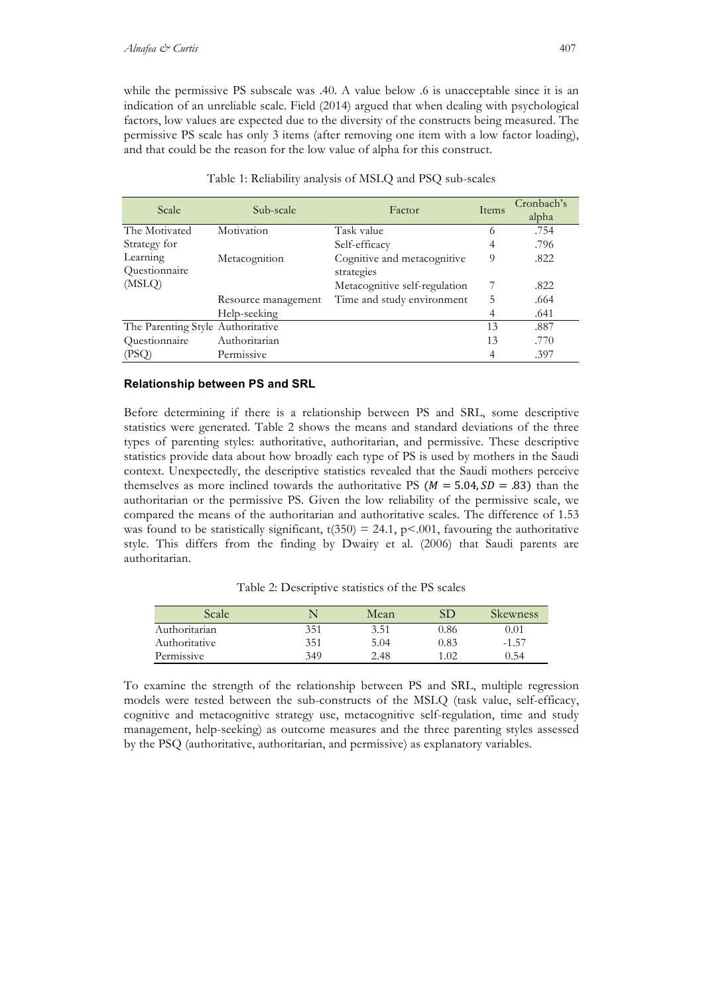while the permissive PS subscale was .40. A value below .6 is unacceptable since it is an indication of an unreliable scale. Field (2014) argued that when dealing with psychological factors, low values are expected due to the diversity of the constructs being measured. The permissive PS scale has only 3 items (after removing one item with a low factor loading), and that could be the reason for the low value of alpha for this construct.

| Scale                             | Sub-scale           | Factor                        | Items | Cronbach's |
|-----------------------------------|---------------------|-------------------------------|-------|------------|
|                                   |                     |                               |       | alpha      |
| The Motivated                     | Motivation          | Task value                    | 6     | .754       |
| Strategy for                      |                     | Self-efficacy                 | 4     | .796       |
| Learning                          | Metacognition       | Cognitive and metacognitive   | 9     | .822       |
| Questionnaire                     |                     | strategies                    |       |            |
| (MSLQ)                            |                     | Metacognitive self-regulation | 7     | .822       |
|                                   | Resource management | Time and study environment    | C     | .664       |
|                                   | Help-seeking        |                               | 4     | .641       |
| The Parenting Style Authoritative |                     |                               | 13    | .887       |
| Questionnaire                     | Authoritarian       |                               | 13    | .770       |
| (PSQ)                             | Permissive          |                               | 4     | .397       |

Table 1: Reliability analysis of MSLQ and PSQ sub-scales

### **Relationship between PS and SRL**

Before determining if there is a relationship between PS and SRL, some descriptive statistics were generated. Table 2 shows the means and standard deviations of the three types of parenting styles: authoritative, authoritarian, and permissive. These descriptive statistics provide data about how broadly each type of PS is used by mothers in the Saudi context. Unexpectedly, the descriptive statistics revealed that the Saudi mothers perceive themselves as more inclined towards the authoritative PS ( $M = 5.04$ ,  $SD = .83$ ) than the authoritarian or the permissive PS. Given the low reliability of the permissive scale, we compared the means of the authoritarian and authoritative scales. The difference of 1.53 was found to be statistically significant,  $t(350) = 24.1$ ,  $p<.001$ , favouring the authoritative style. This differs from the finding by Dwairy et al. (2006) that Saudi parents are authoritarian.

Table 2: Descriptive statistics of the PS scales

| Scale         | $\sim$ | Mean |      | <b>Skewness</b> |
|---------------|--------|------|------|-----------------|
| Authoritarian | 351    | 3.51 | 0.86 | $\rm 0.01$      |
| Authoritative | 351    | 5.04 | 0.83 | $-1.57$         |
| Permissive    | 349    | 2.48 | 1.02 | 0.54            |

To examine the strength of the relationship between PS and SRL, multiple regression models were tested between the sub-constructs of the MSLQ (task value, self-efficacy, cognitive and metacognitive strategy use, metacognitive self-regulation, time and study management, help-seeking) as outcome measures and the three parenting styles assessed by the PSQ (authoritative, authoritarian, and permissive) as explanatory variables.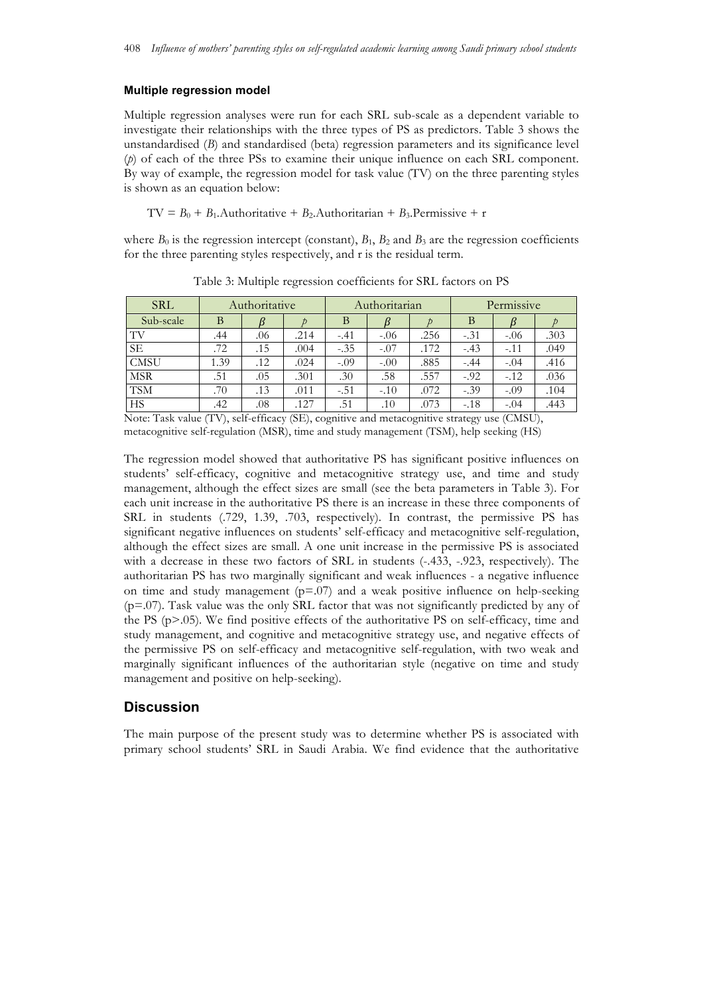#### **Multiple regression model**

Multiple regression analyses were run for each SRL sub-scale as a dependent variable to investigate their relationships with the three types of PS as predictors. Table 3 shows the unstandardised (*B*) and standardised (beta) regression parameters and its significance level (*p*) of each of the three PSs to examine their unique influence on each SRL component. By way of example, the regression model for task value (TV) on the three parenting styles is shown as an equation below:

TV =  $B_0 + B_1$ .Authoritative +  $B_2$ .Authoritarian +  $B_3$ .Permissive + r

where  $B_0$  is the regression intercept (constant),  $B_1$ ,  $B_2$  and  $B_3$  are the regression coefficients for the three parenting styles respectively, and r is the residual term.

| <b>SRL</b>  | Authoritative |     | Authoritarian |                        | Permissive |             |        |        |      |
|-------------|---------------|-----|---------------|------------------------|------------|-------------|--------|--------|------|
| Sub-scale   | В             |     |               | B                      |            |             | В      |        |      |
| TV          | .44           | .06 | .214          | $-.41$                 | $-.06$     | .256        | $-.31$ | $-.06$ | .303 |
| <b>SE</b>   | .72           | .15 | .004          | $-.35$                 | $-.07$     | .172        | $-.43$ | $-.11$ | .049 |
| <b>CMSU</b> | 1.39          | .12 | .024          | $-.09$                 | $-.00$     | .885        | $-.44$ | $-.04$ | .416 |
| <b>MSR</b>  | .51           | .05 | .301          | .30                    | .58        | .557        | $-.92$ | $-.12$ | .036 |
| <b>TSM</b>  | .70           | .13 | .011          | $-.51$                 | $-.10$     | .072        | $-.39$ | $-.09$ | .104 |
| HS          | .42           | .08 | .127          | .51<br>$\cdot$ $\cdot$ | .10        | .073<br>. . | $-.18$ | $-.04$ | .443 |

Table 3: Multiple regression coefficients for SRL factors on PS

Note: Task value (TV), self-efficacy (SE), cognitive and metacognitive strategy use (CMSU), metacognitive self-regulation (MSR), time and study management (TSM), help seeking (HS)

The regression model showed that authoritative PS has significant positive influences on students' self-efficacy, cognitive and metacognitive strategy use, and time and study management, although the effect sizes are small (see the beta parameters in Table 3). For each unit increase in the authoritative PS there is an increase in these three components of SRL in students (.729, 1.39, .703, respectively). In contrast, the permissive PS has significant negative influences on students' self-efficacy and metacognitive self-regulation, although the effect sizes are small. A one unit increase in the permissive PS is associated with a decrease in these two factors of SRL in students  $(-.433, -.923,$  respectively). The authoritarian PS has two marginally significant and weak influences - a negative influence on time and study management  $(p=0.07)$  and a weak positive influence on help-seeking (p=.07). Task value was the only SRL factor that was not significantly predicted by any of the PS  $(p>0.05)$ . We find positive effects of the authoritative PS on self-efficacy, time and study management, and cognitive and metacognitive strategy use, and negative effects of the permissive PS on self-efficacy and metacognitive self-regulation, with two weak and marginally significant influences of the authoritarian style (negative on time and study management and positive on help-seeking).

## **Discussion**

The main purpose of the present study was to determine whether PS is associated with primary school students' SRL in Saudi Arabia. We find evidence that the authoritative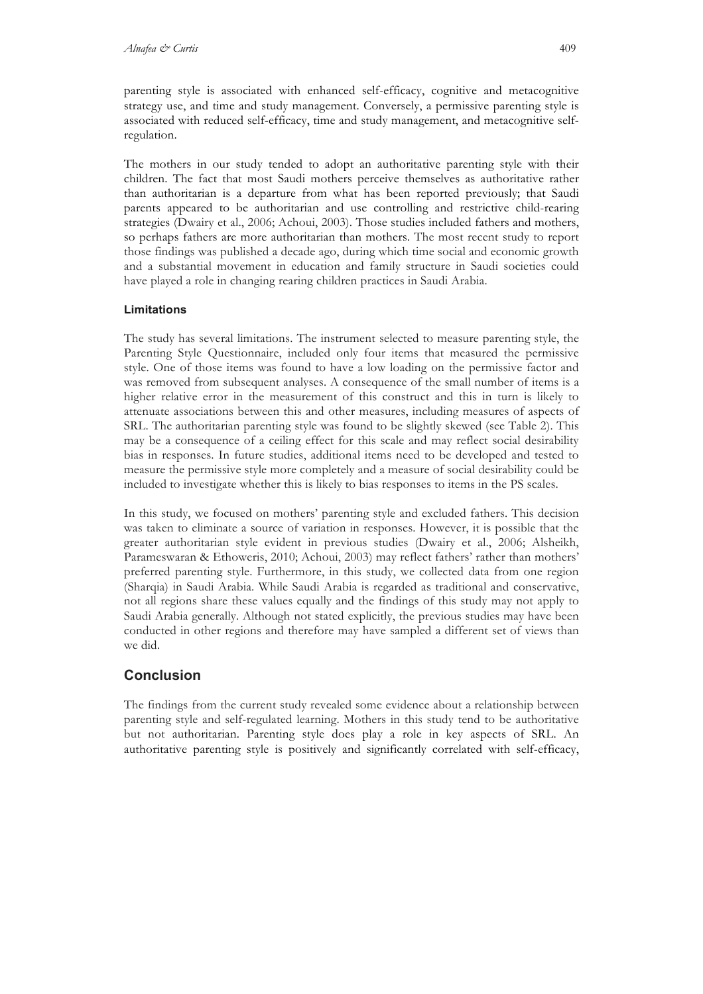parenting style is associated with enhanced self-efficacy, cognitive and metacognitive strategy use, and time and study management. Conversely, a permissive parenting style is associated with reduced self-efficacy, time and study management, and metacognitive selfregulation.

The mothers in our study tended to adopt an authoritative parenting style with their children. The fact that most Saudi mothers perceive themselves as authoritative rather than authoritarian is a departure from what has been reported previously; that Saudi parents appeared to be authoritarian and use controlling and restrictive child-rearing strategies (Dwairy et al., 2006; Achoui, 2003). Those studies included fathers and mothers, so perhaps fathers are more authoritarian than mothers. The most recent study to report those findings was published a decade ago, during which time social and economic growth and a substantial movement in education and family structure in Saudi societies could have played a role in changing rearing children practices in Saudi Arabia.

### **Limitations**

The study has several limitations. The instrument selected to measure parenting style, the Parenting Style Questionnaire, included only four items that measured the permissive style. One of those items was found to have a low loading on the permissive factor and was removed from subsequent analyses. A consequence of the small number of items is a higher relative error in the measurement of this construct and this in turn is likely to attenuate associations between this and other measures, including measures of aspects of SRL. The authoritarian parenting style was found to be slightly skewed (see Table 2). This may be a consequence of a ceiling effect for this scale and may reflect social desirability bias in responses. In future studies, additional items need to be developed and tested to measure the permissive style more completely and a measure of social desirability could be included to investigate whether this is likely to bias responses to items in the PS scales.

In this study, we focused on mothers' parenting style and excluded fathers. This decision was taken to eliminate a source of variation in responses. However, it is possible that the greater authoritarian style evident in previous studies (Dwairy et al., 2006; Alsheikh, Parameswaran & Ethoweris, 2010; Achoui, 2003) may reflect fathers' rather than mothers' preferred parenting style. Furthermore, in this study, we collected data from one region (Sharqia) in Saudi Arabia. While Saudi Arabia is regarded as traditional and conservative, not all regions share these values equally and the findings of this study may not apply to Saudi Arabia generally. Although not stated explicitly, the previous studies may have been conducted in other regions and therefore may have sampled a different set of views than we did.

## **Conclusion**

The findings from the current study revealed some evidence about a relationship between parenting style and self-regulated learning. Mothers in this study tend to be authoritative but not authoritarian. Parenting style does play a role in key aspects of SRL. An authoritative parenting style is positively and significantly correlated with self-efficacy,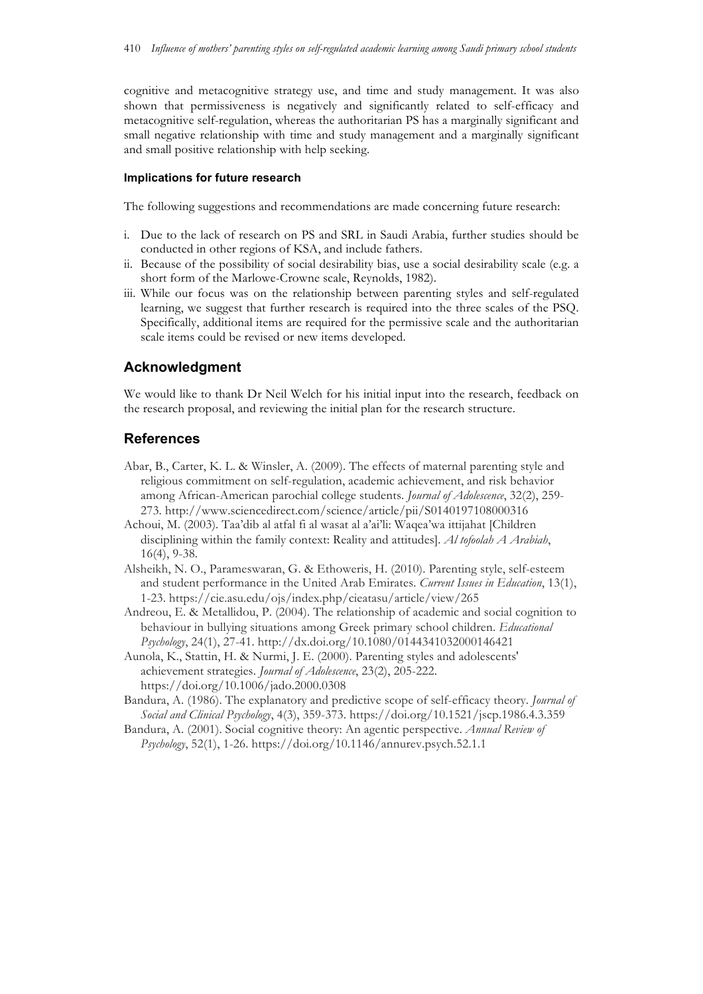cognitive and metacognitive strategy use, and time and study management. It was also shown that permissiveness is negatively and significantly related to self-efficacy and metacognitive self-regulation, whereas the authoritarian PS has a marginally significant and small negative relationship with time and study management and a marginally significant and small positive relationship with help seeking.

#### **Implications for future research**

The following suggestions and recommendations are made concerning future research:

- i. Due to the lack of research on PS and SRL in Saudi Arabia, further studies should be conducted in other regions of KSA, and include fathers.
- ii. Because of the possibility of social desirability bias, use a social desirability scale (e.g. a short form of the Marlowe-Crowne scale, Reynolds, 1982).
- iii. While our focus was on the relationship between parenting styles and self-regulated learning, we suggest that further research is required into the three scales of the PSQ. Specifically, additional items are required for the permissive scale and the authoritarian scale items could be revised or new items developed.

## **Acknowledgment**

We would like to thank Dr Neil Welch for his initial input into the research, feedback on the research proposal, and reviewing the initial plan for the research structure.

### **References**

- Abar, B., Carter, K. L. & Winsler, A. (2009). The effects of maternal parenting style and religious commitment on self-regulation, academic achievement, and risk behavior among African-American parochial college students. *Journal of Adolescence*, 32(2), 259- 273. http://www.sciencedirect.com/science/article/pii/S0140197108000316
- Achoui, M. (2003). Taa'dib al atfal fi al wasat al a'ai'li: Waqea'wa ittijahat [Children disciplining within the family context: Reality and attitudes]. *Al tofoolah A Arabiah*, 16(4), 9-38.
- Alsheikh, N. O., Parameswaran, G. & Ethoweris, H. (2010). Parenting style, self-esteem and student performance in the United Arab Emirates. *Current Issues in Education*, 13(1), 1-23. https://cie.asu.edu/ojs/index.php/cieatasu/article/view/265
- Andreou, E. & Metallidou, P. (2004). The relationship of academic and social cognition to behaviour in bullying situations among Greek primary school children. *Educational Psychology*, 24(1), 27-41. http://dx.doi.org/10.1080/0144341032000146421
- Aunola, K., Stattin, H. & Nurmi, J. E. (2000). Parenting styles and adolescents' achievement strategies. *Journal of Adolescence*, 23(2), 205-222. https://doi.org/10.1006/jado.2000.0308
- Bandura, A. (1986). The explanatory and predictive scope of self-efficacy theory. *Journal of Social and Clinical Psychology*, 4(3), 359-373. https://doi.org/10.1521/jscp.1986.4.3.359
- Bandura, A. (2001). Social cognitive theory: An agentic perspective. *Annual Review of Psychology*, 52(1), 1-26. https://doi.org/10.1146/annurev.psych.52.1.1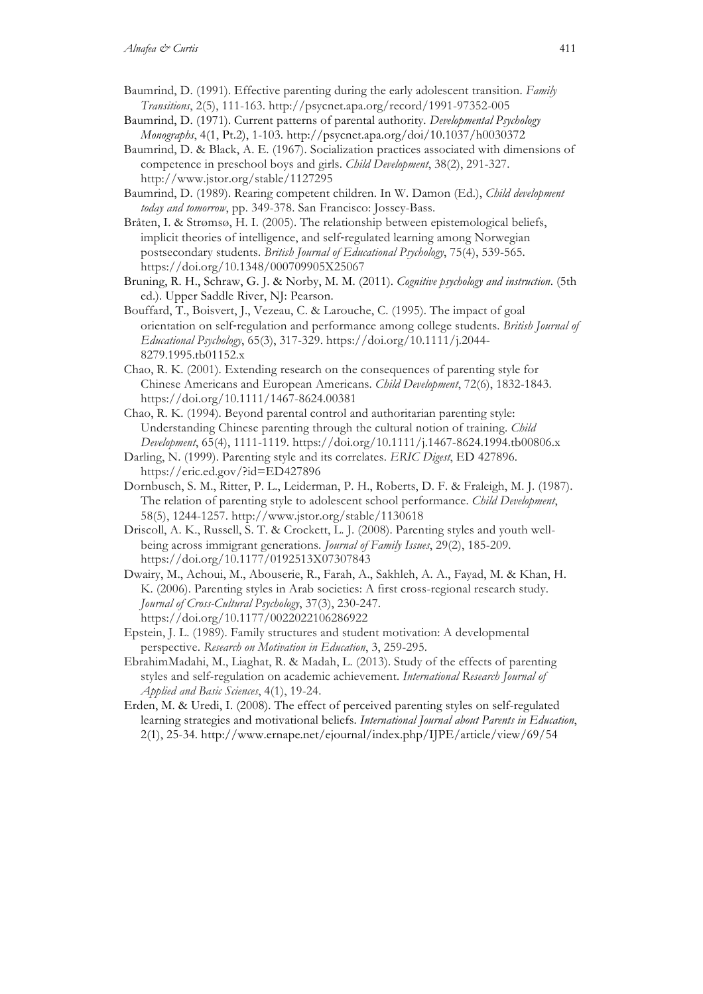- Baumrind, D. (1991). Effective parenting during the early adolescent transition. *Family Transitions*, 2(5), 111-163. http://psycnet.apa.org/record/1991-97352-005
- Baumrind, D. (1971). Current patterns of parental authority. *Developmental Psychology Monographs*, 4(1, Pt.2), 1-103. http://psycnet.apa.org/doi/10.1037/h0030372
- Baumrind, D. & Black, A. E. (1967). Socialization practices associated with dimensions of competence in preschool boys and girls. *Child Development*, 38(2), 291-327. http://www.jstor.org/stable/1127295
- Baumrind, D. (1989). Rearing competent children. In W. Damon (Ed.), *Child development today and tomorrow*, pp. 349-378. San Francisco: Jossey-Bass.
- Bråten, I. & Strømsø, H. I. (2005). The relationship between epistemological beliefs, implicit theories of intelligence, and self‐regulated learning among Norwegian postsecondary students. *British Journal of Educational Psychology*, 75(4), 539-565. https://doi.org/10.1348/000709905X25067
- Bruning, R. H., Schraw, G. J. & Norby, M. M. (2011). *Cognitive psychology and instruction*. (5th ed.). Upper Saddle River, NJ: Pearson.
- Bouffard, T., Boisvert, J., Vezeau, C. & Larouche, C. (1995). The impact of goal orientation on self‐regulation and performance among college students. *British Journal of Educational Psychology*, 65(3), 317-329. https://doi.org/10.1111/j.2044- 8279.1995.tb01152.x
- Chao, R. K. (2001). Extending research on the consequences of parenting style for Chinese Americans and European Americans. *Child Development*, 72(6), 1832-1843. https://doi.org/10.1111/1467-8624.00381
- Chao, R. K. (1994). Beyond parental control and authoritarian parenting style: Understanding Chinese parenting through the cultural notion of training. *Child Development*, 65(4), 1111-1119. https://doi.org/10.1111/j.1467-8624.1994.tb00806.x
- Darling, N. (1999). Parenting style and its correlates. *ERIC Digest*, ED 427896. https://eric.ed.gov/?id=ED427896
- Dornbusch, S. M., Ritter, P. L., Leiderman, P. H., Roberts, D. F. & Fraleigh, M. J. (1987). The relation of parenting style to adolescent school performance. *Child Development*, 58(5), 1244-1257. http://www.jstor.org/stable/1130618
- Driscoll, A. K., Russell, S. T. & Crockett, L. J. (2008). Parenting styles and youth wellbeing across immigrant generations. *Journal of Family Issues*, 29(2), 185-209. https://doi.org/10.1177/0192513X07307843
- Dwairy, M., Achoui, M., Abouserie, R., Farah, A., Sakhleh, A. A., Fayad, M. & Khan, H. K. (2006). Parenting styles in Arab societies: A first cross-regional research study. *Journal of Cross-Cultural Psychology*, 37(3), 230-247. https://doi.org/10.1177/0022022106286922
- Epstein, J. L. (1989). Family structures and student motivation: A developmental perspective. *Research on Motivation in Education*, 3, 259-295.
- EbrahimMadahi, M., Liaghat, R. & Madah, L. (2013). Study of the effects of parenting styles and self-regulation on academic achievement. *International Research Journal of Applied and Basic Sciences*, 4(1), 19-24.
- Erden, M. & Uredi, I. (2008). The effect of perceived parenting styles on self-regulated learning strategies and motivational beliefs. *International Journal about Parents in Education*, 2(1), 25-34. http://www.ernape.net/ejournal/index.php/IJPE/article/view/69/54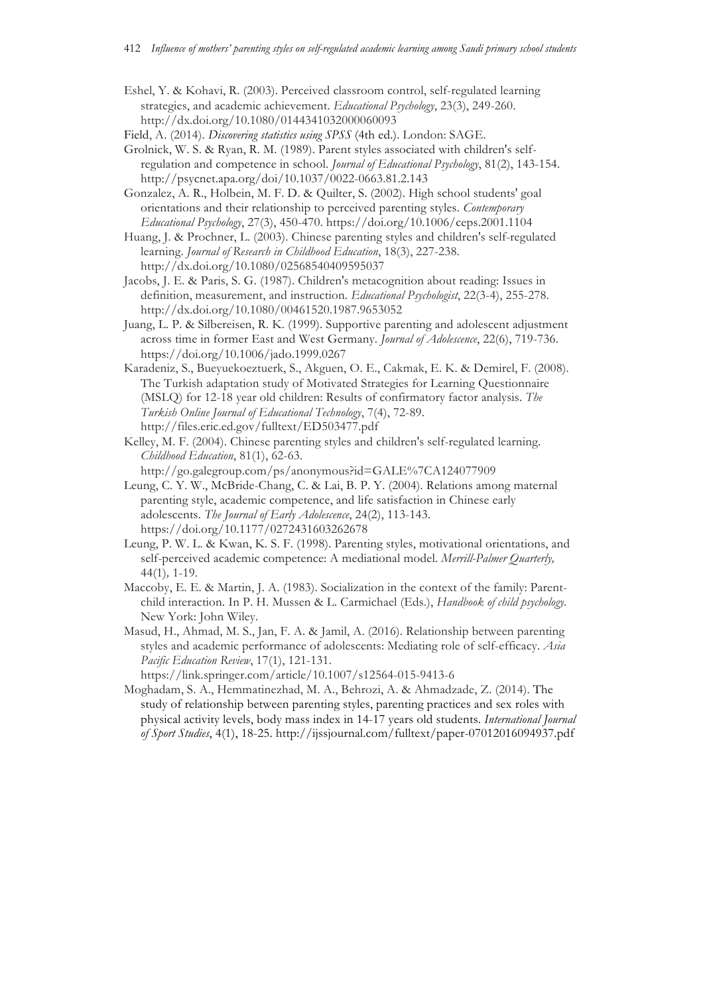- Eshel, Y. & Kohavi, R. (2003). Perceived classroom control, self-regulated learning strategies, and academic achievement. *Educational Psychology*, 23(3), 249-260. http://dx.doi.org/10.1080/0144341032000060093
- Field, A. (2014). *Discovering statistics using SPSS* (4th ed.). London: SAGE.
- Grolnick, W. S. & Ryan, R. M. (1989). Parent styles associated with children's selfregulation and competence in school. *Journal of Educational Psychology*, 81(2), 143-154. http://psycnet.apa.org/doi/10.1037/0022-0663.81.2.143
- Gonzalez, A. R., Holbein, M. F. D. & Quilter, S. (2002). High school students' goal orientations and their relationship to perceived parenting styles. *Contemporary Educational Psychology*, 27(3), 450-470. https://doi.org/10.1006/ceps.2001.1104
- Huang, J. & Prochner, L. (2003). Chinese parenting styles and children's self-regulated learning. *Journal of Research in Childhood Education*, 18(3), 227-238. http://dx.doi.org/10.1080/02568540409595037
- Jacobs, J. E. & Paris, S. G. (1987). Children's metacognition about reading: Issues in definition, measurement, and instruction. *Educational Psychologist*, 22(3-4), 255-278. http://dx.doi.org/10.1080/00461520.1987.9653052
- Juang, L. P. & Silbereisen, R. K. (1999). Supportive parenting and adolescent adjustment across time in former East and West Germany. *Journal of Adolescence*, 22(6), 719-736. https://doi.org/10.1006/jado.1999.0267
- Karadeniz, S., Bueyuekoeztuerk, S., Akguen, O. E., Cakmak, E. K. & Demirel, F. (2008). The Turkish adaptation study of Motivated Strategies for Learning Questionnaire (MSLQ) for 12-18 year old children: Results of confirmatory factor analysis. *The Turkish Online Journal of Educational Technology*, 7(4), 72-89. http://files.eric.ed.gov/fulltext/ED503477.pdf
- Kelley, M. F. (2004). Chinese parenting styles and children's self-regulated learning. *Childhood Education*, 81(1), 62-63.

http://go.galegroup.com/ps/anonymous?id=GALE%7CA124077909

- Leung, C. Y. W., McBride-Chang, C. & Lai, B. P. Y. (2004). Relations among maternal parenting style, academic competence, and life satisfaction in Chinese early adolescents. *The Journal of Early Adolescence*, 24(2), 113-143. https://doi.org/10.1177/0272431603262678
- Leung, P. W. L. & Kwan, K. S. F. (1998). Parenting styles, motivational orientations, and self-perceived academic competence: A mediational model. *Merrill-Palmer Quarterly,*  44(1)*,* 1-19.
- Maccoby, E. E. & Martin, J. A. (1983). Socialization in the context of the family: Parentchild interaction. In P. H. Mussen & L. Carmichael (Eds.), *Handbook of child psychology.*  New York: John Wiley.
- Masud, H., Ahmad, M. S., Jan, F. A. & Jamil, A. (2016). Relationship between parenting styles and academic performance of adolescents: Mediating role of self-efficacy. *Asia Pacific Education Review*, 17(1), 121-131.

https://link.springer.com/article/10.1007/s12564-015-9413-6

Moghadam, S. A., Hemmatinezhad, M. A., Behrozi, A. & Ahmadzade, Z. (2014). The study of relationship between parenting styles, parenting practices and sex roles with physical activity levels, body mass index in 14-17 years old students. *International Journal of Sport Studies*, 4(1), 18-25. http://ijssjournal.com/fulltext/paper-07012016094937.pdf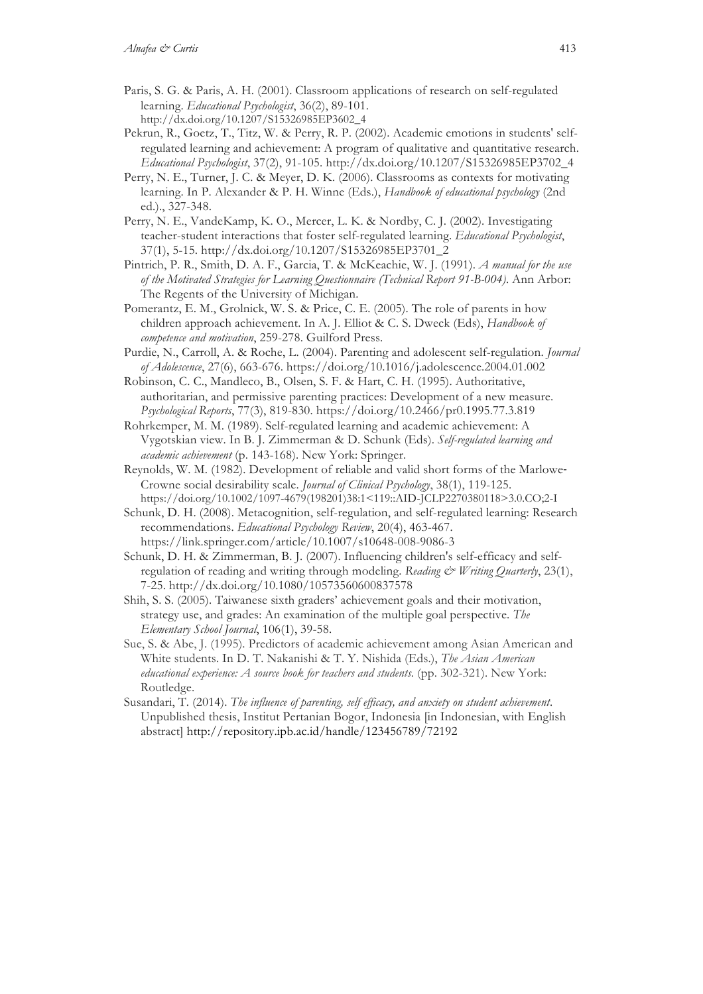- Paris, S. G. & Paris, A. H. (2001). Classroom applications of research on self-regulated learning. *Educational Psychologist*, 36(2), 89-101. http://dx.doi.org/10.1207/S15326985EP3602\_4
- Pekrun, R., Goetz, T., Titz, W. & Perry, R. P. (2002). Academic emotions in students' selfregulated learning and achievement: A program of qualitative and quantitative research. *Educational Psychologist*, 37(2), 91-105. http://dx.doi.org/10.1207/S15326985EP3702\_4
- Perry, N. E., Turner, J. C. & Meyer, D. K. (2006). Classrooms as contexts for motivating learning. In P. Alexander & P. H. Winne (Eds.), *Handbook of educational psychology* (2nd ed.)., 327-348.
- Perry, N. E., VandeKamp, K. O., Mercer, L. K. & Nordby, C. J. (2002). Investigating teacher-student interactions that foster self-regulated learning. *Educational Psychologist*, 37(1), 5-15. http://dx.doi.org/10.1207/S15326985EP3701\_2
- Pintrich, P. R., Smith, D. A. F., Garcia, T. & McKeachie, W. J. (1991). *A manual for the use of the Motivated Strategies for Learning Questionnaire (Technical Report 91-B-004)*. Ann Arbor: The Regents of the University of Michigan.
- Pomerantz, E. M., Grolnick, W. S. & Price, C. E. (2005). The role of parents in how children approach achievement. In A. J. Elliot & C. S. Dweck (Eds), *Handbook of competence and motivation*, 259-278. Guilford Press.
- Purdie, N., Carroll, A. & Roche, L. (2004). Parenting and adolescent self-regulation. *Journal of Adolescence*, 27(6), 663-676. https://doi.org/10.1016/j.adolescence.2004.01.002
- Robinson, C. C., Mandleco, B., Olsen, S. F. & Hart, C. H. (1995). Authoritative, authoritarian, and permissive parenting practices: Development of a new measure. *Psychological Reports*, 77(3), 819-830. https://doi.org/10.2466/pr0.1995.77.3.819
- Rohrkemper, M. M. (1989). Self-regulated learning and academic achievement: A Vygotskian view. In B. J. Zimmerman & D. Schunk (Eds). *Self-regulated learning and academic achievement* (p. 143-168). New York: Springer.
- Reynolds, W. M. (1982). Development of reliable and valid short forms of the Marlowe‐ Crowne social desirability scale. *Journal of Clinical Psychology*, 38(1), 119-125. https://doi.org/10.1002/1097-4679(198201)38:1<119::AID-JCLP2270380118>3.0.CO;2-I
- Schunk, D. H. (2008). Metacognition, self-regulation, and self-regulated learning: Research recommendations. *Educational Psychology Review*, 20(4), 463-467. https://link.springer.com/article/10.1007/s10648-008-9086-3
- Schunk, D. H. & Zimmerman, B. J. (2007). Influencing children's self-efficacy and selfregulation of reading and writing through modeling. Reading & Writing Quarterly, 23(1), 7-25. http://dx.doi.org/10.1080/10573560600837578
- Shih, S. S. (2005). Taiwanese sixth graders' achievement goals and their motivation, strategy use, and grades: An examination of the multiple goal perspective. *The Elementary School Journal*, 106(1), 39-58.
- Sue, S. & Abe, J. (1995). Predictors of academic achievement among Asian American and White students. In D. T. Nakanishi & T. Y. Nishida (Eds.), *The Asian American educational experience: A source book for teachers and students*. (pp. 302-321). New York: Routledge.
- Susandari, T. (2014). *The influence of parenting, self efficacy, and anxiety on student achievement*. Unpublished thesis, Institut Pertanian Bogor, Indonesia [in Indonesian, with English abstract] http://repository.ipb.ac.id/handle/123456789/72192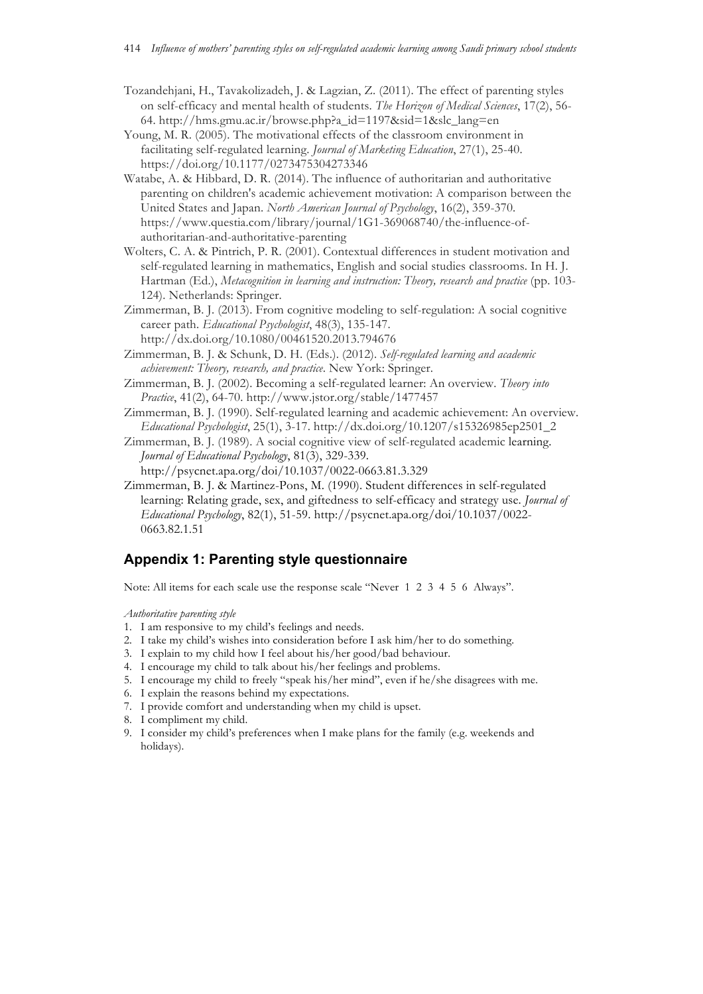- Tozandehjani, H., Tavakolizadeh, J. & Lagzian, Z. (2011). The effect of parenting styles on self-efficacy and mental health of students. *The Horizon of Medical Sciences*, 17(2), 56- 64. http://hms.gmu.ac.ir/browse.php?a\_id=1197&sid=1&slc\_lang=en
- Young, M. R. (2005). The motivational effects of the classroom environment in facilitating self-regulated learning. *Journal of Marketing Education*, 27(1), 25-40. https://doi.org/10.1177/0273475304273346
- Watabe, A. & Hibbard, D. R. (2014). The influence of authoritarian and authoritative parenting on children's academic achievement motivation: A comparison between the United States and Japan. *North American Journal of Psychology*, 16(2), 359-370. https://www.questia.com/library/journal/1G1-369068740/the-influence-ofauthoritarian-and-authoritative-parenting
- Wolters, C. A. & Pintrich, P. R. (2001). Contextual differences in student motivation and self-regulated learning in mathematics, English and social studies classrooms. In H. J. Hartman (Ed.), *Metacognition in learning and instruction: Theory, research and practice* (pp. 103- 124). Netherlands: Springer.
- Zimmerman, B. J. (2013). From cognitive modeling to self-regulation: A social cognitive career path. *Educational Psychologist*, 48(3), 135-147. http://dx.doi.org/10.1080/00461520.2013.794676
- Zimmerman, B. J. & Schunk, D. H. (Eds.). (2012). *Self-regulated learning and academic achievement: Theory, research, and practice*. New York: Springer.
- Zimmerman, B. J. (2002). Becoming a self-regulated learner: An overview. *Theory into Practice*, 41(2), 64-70. http://www.jstor.org/stable/1477457
- Zimmerman, B. J. (1990). Self-regulated learning and academic achievement: An overview. *Educational Psychologist*, 25(1), 3-17. http://dx.doi.org/10.1207/s15326985ep2501\_2
- Zimmerman, B. J. (1989). A social cognitive view of self-regulated academic learning. *Journal of Educational Psychology*, 81(3), 329-339. http://psycnet.apa.org/doi/10.1037/0022-0663.81.3.329
- Zimmerman, B. J. & Martinez-Pons, M. (1990). Student differences in self-regulated learning: Relating grade, sex, and giftedness to self-efficacy and strategy use. *Journal of Educational Psychology*, 82(1), 51-59. http://psycnet.apa.org/doi/10.1037/0022- 0663.82.1.51

## **Appendix 1: Parenting style questionnaire**

Note: All items for each scale use the response scale "Never 1 2 3 4 5 6 Always".

*Authoritative parenting style*

- 1. I am responsive to my child's feelings and needs.
- 2. I take my child's wishes into consideration before I ask him/her to do something.
- 3. I explain to my child how I feel about his/her good/bad behaviour.
- 4. I encourage my child to talk about his/her feelings and problems.
- 5. I encourage my child to freely "speak his/her mind", even if he/she disagrees with me.
- 6. I explain the reasons behind my expectations.
- 7. I provide comfort and understanding when my child is upset.
- 8. I compliment my child.
- 9. I consider my child's preferences when I make plans for the family (e.g. weekends and holidays).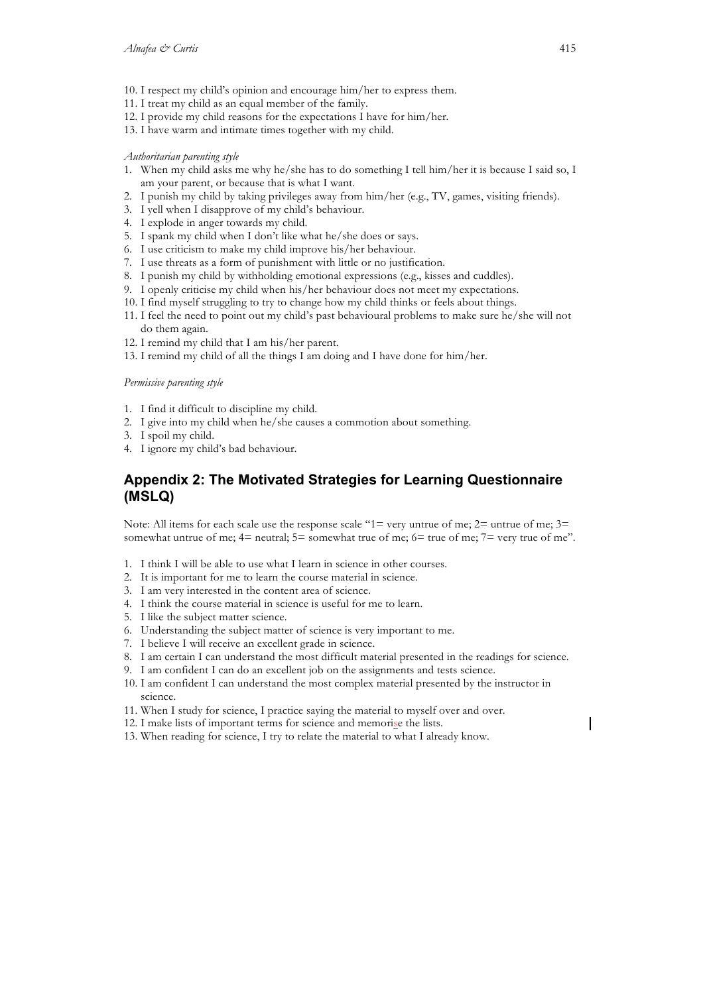- 10. I respect my child's opinion and encourage him/her to express them.
- 11. I treat my child as an equal member of the family.
- 12. I provide my child reasons for the expectations I have for him/her.
- 13. I have warm and intimate times together with my child.

### *Authoritarian parenting style*

- 1. When my child asks me why he/she has to do something I tell him/her it is because I said so, I am your parent, or because that is what I want.
- 2. I punish my child by taking privileges away from him/her (e.g., TV, games, visiting friends).
- 3. I yell when I disapprove of my child's behaviour.
- 4. I explode in anger towards my child.
- 5. I spank my child when I don't like what he/she does or says.
- 6. I use criticism to make my child improve his/her behaviour.
- 7. I use threats as a form of punishment with little or no justification.
- 8. I punish my child by withholding emotional expressions (e.g., kisses and cuddles).
- 9. I openly criticise my child when his/her behaviour does not meet my expectations.
- 10. I find myself struggling to try to change how my child thinks or feels about things.
- 11. I feel the need to point out my child's past behavioural problems to make sure he/she will not do them again.
- 12. I remind my child that I am his/her parent.
- 13. I remind my child of all the things I am doing and I have done for him/her.

#### *Permissive parenting style*

- 1. I find it difficult to discipline my child.
- 2. I give into my child when he/she causes a commotion about something.
- 3. I spoil my child.
- 4. I ignore my child's bad behaviour.

## **Appendix 2: The Motivated Strategies for Learning Questionnaire (MSLQ)**

Note: All items for each scale use the response scale "1= very untrue of me; 2= untrue of me; 3= somewhat untrue of me;  $4=$  neutral;  $5=$  somewhat true of me;  $6=$  true of me;  $7=$  very true of me".

- 1. I think I will be able to use what I learn in science in other courses.
- 2. It is important for me to learn the course material in science.
- 3. I am very interested in the content area of science.
- 4. I think the course material in science is useful for me to learn.
- 5. I like the subject matter science.
- 6. Understanding the subject matter of science is very important to me.
- 7. I believe I will receive an excellent grade in science.
- 8. I am certain I can understand the most difficult material presented in the readings for science.
- 9. I am confident I can do an excellent job on the assignments and tests science.
- 10. I am confident I can understand the most complex material presented by the instructor in science.
- 11. When I study for science, I practice saying the material to myself over and over.
- 12. I make lists of important terms for science and memorise the lists.
- 13. When reading for science, I try to relate the material to what I already know.